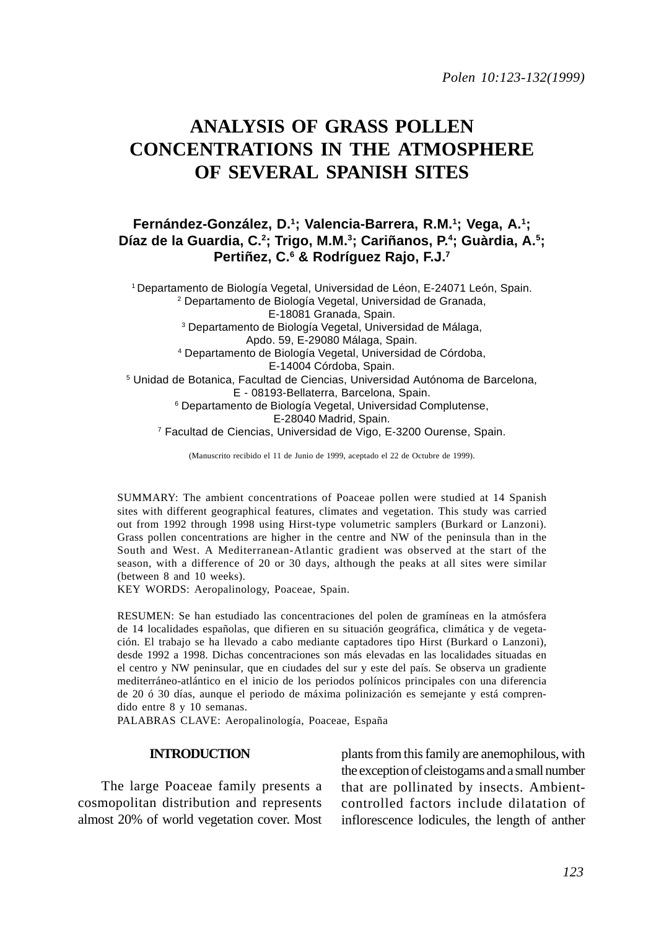*Polen 10:123-132(1999)*

# **ANALYSIS OF GRASS POLLEN CONCENTRATIONS IN THE ATMOSPHERE OF SEVERAL SPANISH SITES**

## **Fernández-González, D.1; Valencia-Barrera, R.M.1 ; Vega, A.1;** Díaz de la Guardia, C.<sup>2</sup>; Trigo, M.M.<sup>3</sup>; Cariñanos, P.<sup>4</sup>; Guàrdia, A.<sup>5</sup>; **Pertiñez, C.6 & Rodríguez Rajo, F.J.7**

1 Departamento de Biología Vegetal, Universidad de Léon, E-24071 León, Spain. 2 Departamento de Biología Vegetal, Universidad de Granada, E-18081 Granada, Spain. 3 Departamento de Biología Vegetal, Universidad de Málaga, Apdo. 59, E-29080 Málaga, Spain. 4 Departamento de Biología Vegetal, Universidad de Córdoba, E-14004 Córdoba, Spain. 5 Unidad de Botanica, Facultad de Ciencias, Universidad Autónoma de Barcelona, E - 08193-Bellaterra, Barcelona, Spain. 6 Departamento de Biología Vegetal, Universidad Complutense, E-28040 Madrid, Spain. 7 Facultad de Ciencias, Universidad de Vigo, E-3200 Ourense, Spain.

(Manuscrito recibido el 11 de Junio de 1999, aceptado el 22 de Octubre de 1999).

SUMMARY: The ambient concentrations of Poaceae pollen were studied at 14 Spanish sites with different geographical features, climates and vegetation. This study was carried out from 1992 through 1998 using Hirst-type volumetric samplers (Burkard or Lanzoni). Grass pollen concentrations are higher in the centre and NW of the peninsula than in the South and West. A Mediterranean-Atlantic gradient was observed at the start of the season, with a difference of 20 or 30 days, although the peaks at all sites were similar (between 8 and 10 weeks).

KEY WORDS: Aeropalinology, Poaceae, Spain.

RESUMEN: Se han estudiado las concentraciones del polen de gramíneas en la atmósfera de 14 localidades españolas, que difieren en su situación geográfica, climática y de vegetación. El trabajo se ha llevado a cabo mediante captadores tipo Hirst (Burkard o Lanzoni), desde 1992 a 1998. Dichas concentraciones son más elevadas en las localidades situadas en el centro y NW peninsular, que en ciudades del sur y este del país. Se observa un gradiente mediterráneo-atlántico en el inicio de los periodos polínicos principales con una diferencia de 20 ó 30 días, aunque el periodo de máxima polinización es semejante y está comprendido entre 8 y 10 semanas.

PALABRAS CLAVE: Aeropalinología, Poaceae, España

#### **INTRODUCTION**

The large Poaceae family presents a cosmopolitan distribution and represents almost 20% of world vegetation cover. Most plants from this family are anemophilous, with the exception of cleistogams and a small number that are pollinated by insects. Ambientcontrolled factors include dilatation of inflorescence lodicules, the length of anther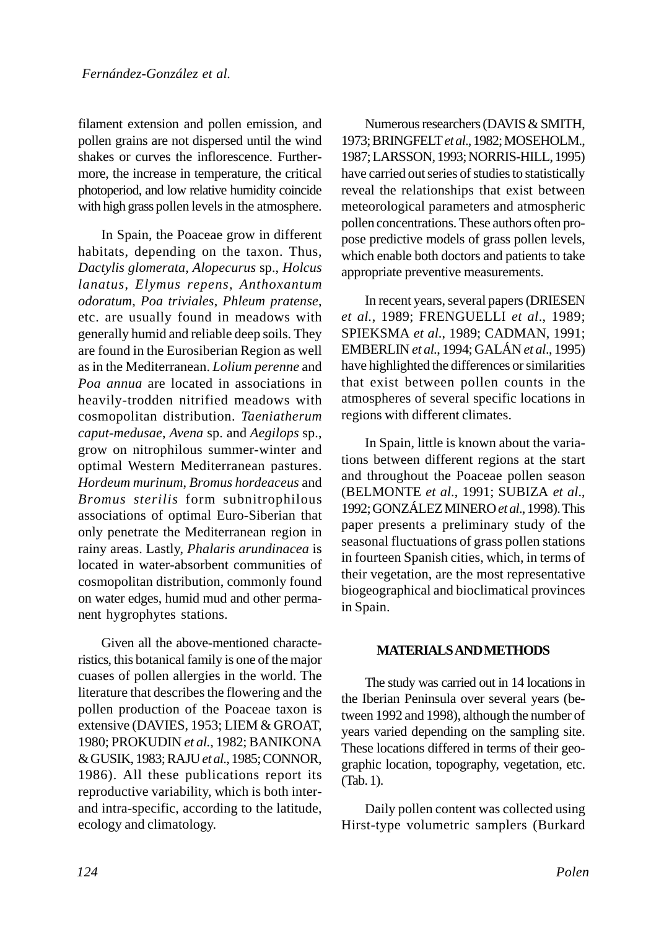filament extension and pollen emission, and pollen grains are not dispersed until the wind shakes or curves the inflorescence. Furthermore, the increase in temperature, the critical photoperiod, and low relative humidity coincide with high grass pollen levels in the atmosphere.

In Spain, the Poaceae grow in different habitats, depending on the taxon. Thus, *Dactylis glomerata, Alopecurus* sp., *Holcus lanatus*, *Elymus repens*, *Anthoxantum odoratum*, *Poa triviales*, *Phleum pratense*, etc. are usually found in meadows with generally humid and reliable deep soils. They are found in the Eurosiberian Region as well as in the Mediterranean. *Lolium perenne* and *Poa annua* are located in associations in heavily-trodden nitrified meadows with cosmopolitan distribution. *Taeniatherum caput-medusae*, *Avena* sp. and *Aegilops* sp., grow on nitrophilous summer-winter and optimal Western Mediterranean pastures. *Hordeum murinum*, *Bromus hordeaceus* and *Bromus sterilis* form subnitrophilous associations of optimal Euro-Siberian that only penetrate the Mediterranean region in rainy areas. Lastly, *Phalaris arundinacea* is located in water-absorbent communities of cosmopolitan distribution, commonly found on water edges, humid mud and other permanent hygrophytes stations.

Given all the above-mentioned characteristics, this botanical family is one of the major cuases of pollen allergies in the world. The literature that describes the flowering and the pollen production of the Poaceae taxon is extensive (DAVIES, 1953; LIEM & GROAT, 1980; PROKUDIN *et al.*, 1982; BANIKONA & GUSIK, 1983; RAJU *et al*., 1985; CONNOR, 1986). All these publications report its reproductive variability, which is both interand intra-specific, according to the latitude, ecology and climatology.

Numerous researchers (DAVIS & SMITH, 1973; BRINGFELT *et al*., 1982; MOSEHOLM., 1987; LARSSON, 1993; NORRIS-HILL, 1995) have carried out series of studies to statistically reveal the relationships that exist between meteorological parameters and atmospheric pollen concentrations. These authors often propose predictive models of grass pollen levels, which enable both doctors and patients to take appropriate preventive measurements.

In recent years, several papers (DRIESEN *et al.*, 1989; FRENGUELLI *et al*., 1989; SPIEKSMA *et al*., 1989; CADMAN, 1991; EMBERLIN *et al*., 1994; GALÁN *et al*., 1995) have highlighted the differences or similarities that exist between pollen counts in the atmospheres of several specific locations in regions with different climates.

In Spain, little is known about the variations between different regions at the start and throughout the Poaceae pollen season (BELMONTE *et al*., 1991; SUBIZA *et al*., 1992; GONZÁLEZ MINERO *et al*., 1998). This paper presents a preliminary study of the seasonal fluctuations of grass pollen stations in fourteen Spanish cities, which, in terms of their vegetation, are the most representative biogeographical and bioclimatical provinces in Spain.

### **MATERIALS AND METHODS**

The study was carried out in 14 locations in the Iberian Peninsula over several years (between 1992 and 1998), although the number of years varied depending on the sampling site. These locations differed in terms of their geographic location, topography, vegetation, etc. (Tab. 1).

Daily pollen content was collected using Hirst-type volumetric samplers (Burkard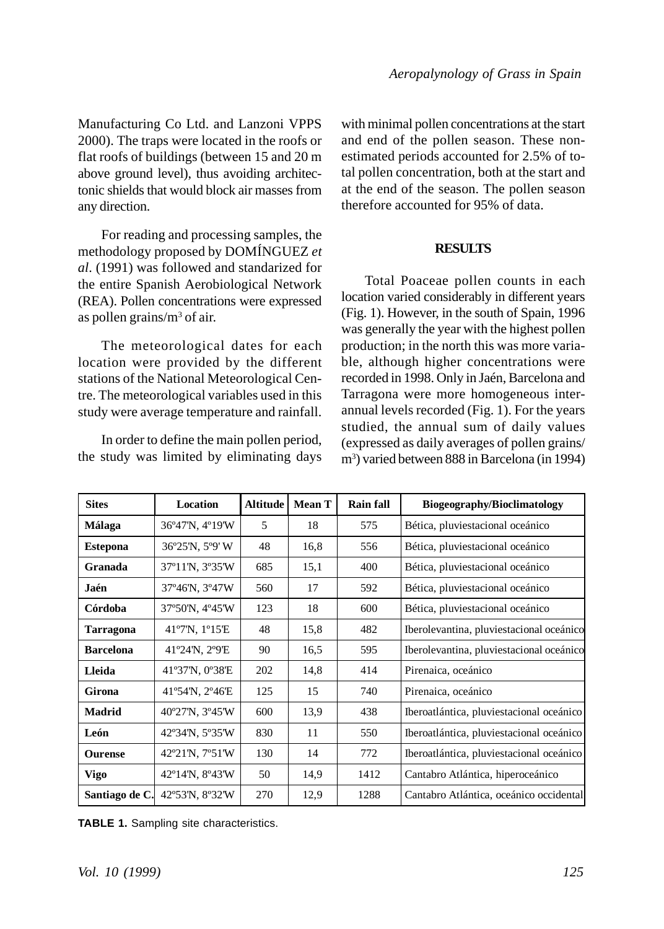Manufacturing Co Ltd. and Lanzoni VPPS 2000). The traps were located in the roofs or flat roofs of buildings (between 15 and 20 m above ground level), thus avoiding architectonic shields that would block air masses from any direction.

For reading and processing samples, the methodology proposed by DOMÍNGUEZ *et al*. (1991) was followed and standarized for the entire Spanish Aerobiological Network (REA). Pollen concentrations were expressed as pollen grains/m<sup>3</sup> of air.

The meteorological dates for each location were provided by the different stations of the National Meteorological Centre. The meteorological variables used in this study were average temperature and rainfall.

In order to define the main pollen period, the study was limited by eliminating days

with minimal pollen concentrations at the start and end of the pollen season. These nonestimated periods accounted for 2.5% of total pollen concentration, both at the start and at the end of the season. The pollen season therefore accounted for 95% of data.

#### **RESULTS**

Total Poaceae pollen counts in each location varied considerably in different years (Fig. 1). However, in the south of Spain, 1996 was generally the year with the highest pollen production; in the north this was more variable, although higher concentrations were recorded in 1998. Only in Jaén, Barcelona and Tarragona were more homogeneous interannual levels recorded (Fig. 1). For the years studied, the annual sum of daily values (expressed as daily averages of pollen grains/ m3 ) varied between 888 in Barcelona (in 1994)

| <b>Sites</b>     | Location        | <b>Altitude</b> | <b>Mean T</b> | <b>Rain fall</b> | <b>Biogeography/Bioclimatology</b>       |  |
|------------------|-----------------|-----------------|---------------|------------------|------------------------------------------|--|
| <b>Málaga</b>    | 36°47'N, 4°19'W | 5               | 18            | 575              | Bética, pluviestacional oceánico         |  |
| <b>Estepona</b>  | 36°25'N, 5°9'W  | 48              | 16,8          | 556              | Bética, pluviestacional oceánico         |  |
| Granada          | 37°11'N, 3°35'W | 685             | 15,1          | 400              | Bética, pluviestacional oceánico         |  |
| Jaén             | 37°46'N, 3°47W  | 560             | 17            | 592              | Bética, pluviestacional oceánico         |  |
| Córdoba          | 37°50'N, 4°45'W | 123             | 18            | 600              | Bética, pluviestacional oceánico         |  |
| <b>Tarragona</b> | 41°7'N, 1°15'E  | 48              | 15,8          | 482              | Iberolevantina, pluviestacional oceánico |  |
| <b>Barcelona</b> | 41°24'N, 2°9'E  | 90              | 16,5          | 595              | Iberolevantina, pluviestacional oceánico |  |
| Lleida           | 41°37'N, 0°38'E | 202             | 14,8          | 414              | Pirenaica, oceánico                      |  |
| Girona           | 41°54'N, 2°46'E | 125             | 15            | 740              | Pirenaica, oceánico                      |  |
| <b>Madrid</b>    | 40°27'N, 3°45'W | 600             | 13,9          | 438              | Iberoatlántica, pluviestacional oceánico |  |
| León             | 42°34'N, 5°35'W | 830             | 11            | 550              | Iberoatlántica, pluviestacional oceánico |  |
| <b>Ourense</b>   | 42°21'N, 7°51'W | 130             | 14            | 772              | Iberoatlántica, pluviestacional oceánico |  |
| <b>Vigo</b>      | 42°14'N, 8°43'W | 50              | 14,9          | 1412             | Cantabro Atlántica, hiperoceánico        |  |
| Santiago de C.   | 42°53'N, 8°32'W | 270             | 12,9          | 1288             | Cantabro Atlántica, oceánico occidental  |  |

**TABLE 1.** Sampling site characteristics.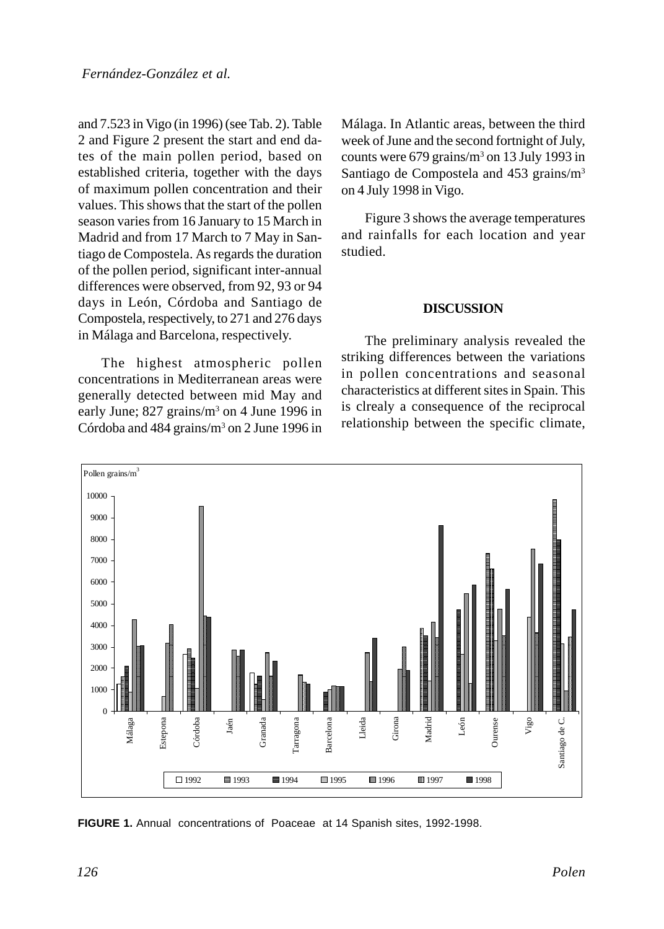and 7.523 in Vigo (in 1996) (see Tab. 2). Table 2 and Figure 2 present the start and end dates of the main pollen period, based on established criteria, together with the days of maximum pollen concentration and their values. This shows that the start of the pollen season varies from 16 January to 15 March in Madrid and from 17 March to 7 May in Santiago de Compostela. As regards the duration of the pollen period, significant inter-annual differences were observed, from 92, 93 or 94 days in León, Córdoba and Santiago de Compostela, respectively, to 271 and 276 days in Málaga and Barcelona, respectively.

The highest atmospheric pollen concentrations in Mediterranean areas were generally detected between mid May and early June; 827 grains/m<sup>3</sup> on 4 June 1996 in Córdoba and 484 grains/m<sup>3</sup> on 2 June 1996 in

Málaga. In Atlantic areas, between the third week of June and the second fortnight of July, counts were  $679$  grains/ $m<sup>3</sup>$  on 13 July 1993 in Santiago de Compostela and 453 grains/m3 on 4 July 1998 in Vigo.

Figure 3 shows the average temperatures and rainfalls for each location and year studied.

#### **DISCUSSION**

The preliminary analysis revealed the striking differences between the variations in pollen concentrations and seasonal characteristics at different sites in Spain. This is clrealy a consequence of the reciprocal relationship between the specific climate,



**FIGURE 1.** Annual concentrations of Poaceae at 14 Spanish sites, 1992-1998.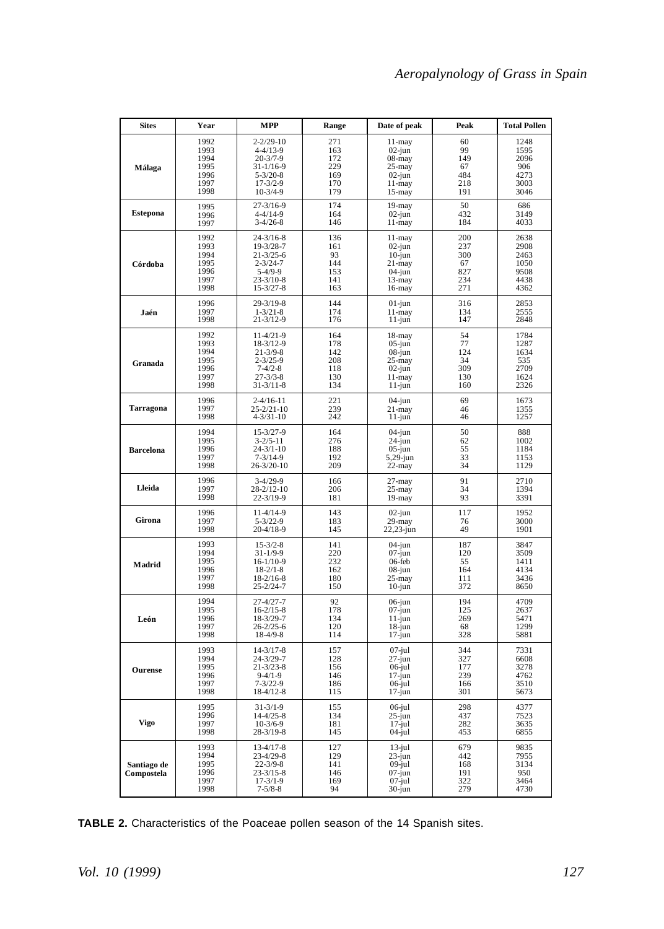| <b>Sites</b>              | Year                                         | <b>MPP</b>                                                                                       | Range                                 | Date of peak                                                            | Peak                                   | <b>Total Pollen</b>                         |
|---------------------------|----------------------------------------------|--------------------------------------------------------------------------------------------------|---------------------------------------|-------------------------------------------------------------------------|----------------------------------------|---------------------------------------------|
| Málaga                    | 1992                                         | $2 - 2/29 - 10$                                                                                  | 271                                   | 11-may                                                                  | 60                                     | 1248                                        |
|                           | 1993                                         | $4 - 4/13 - 9$                                                                                   | 163                                   | $02$ -jun                                                               | 99                                     | 1595                                        |
|                           | 1994                                         | $20 - 3/7 - 9$                                                                                   | 172                                   | $08 - may$                                                              | 149                                    | 2096                                        |
|                           | 1995                                         | $31 - 1/16 - 9$                                                                                  | 229                                   | $25 - may$                                                              | 67                                     | 906                                         |
|                           | 1996                                         | $5 - 3/20 - 8$                                                                                   | 169                                   | $02$ -jun                                                               | 484                                    | 4273                                        |
|                           | 1997                                         | $17 - 3/2 - 9$                                                                                   | 170                                   | 11-may                                                                  | 218                                    | 3003                                        |
|                           | 1998                                         | $10-3/4-9$                                                                                       | 179                                   | $15$ -may                                                               | 191                                    | 3046                                        |
| <b>Estepona</b>           | 1995                                         | $27 - 3/16 - 9$                                                                                  | 174                                   | $19$ -may                                                               | 50                                     | 686                                         |
|                           | 1996                                         | $4 - 4/14 - 9$                                                                                   | 164                                   | $02$ -jun                                                               | 432                                    | 3149                                        |
|                           | 1997                                         | $3-4/26-8$                                                                                       | 146                                   | $11 - may$                                                              | 184                                    | 4033                                        |
| Córdoba                   | 1992                                         | $24 - 3/16 - 8$                                                                                  | 136                                   | $11 - may$                                                              | 200                                    | 2638                                        |
|                           | 1993                                         | 19-3/28-7                                                                                        | 161                                   | $02$ -jun                                                               | 237                                    | 2908                                        |
|                           | 1994                                         | $21 - 3/25 - 6$                                                                                  | 93                                    | $10$ -jun                                                               | 300                                    | 2463                                        |
|                           | 1995                                         | $2 - 3/24 - 7$                                                                                   | 144                                   | $21 -$ may                                                              | 67                                     | 1050                                        |
|                           | 1996                                         | $5-4/9-9$                                                                                        | 153                                   | $04$ -jun                                                               | 827                                    | 9508                                        |
|                           | 1997                                         | $23 - 3/10 - 8$                                                                                  | 141                                   | $13 -$ may                                                              | 234                                    | 4438                                        |
|                           | 1998                                         | $15 - 3/27 - 8$                                                                                  | 163                                   | $16 - may$                                                              | 271                                    | 4362                                        |
| Jaén                      | 1996                                         | $29 - 3/19 - 8$                                                                                  | 144                                   | $01$ -jun                                                               | 316                                    | 2853                                        |
|                           | 1997                                         | $1 - 3/21 - 8$                                                                                   | 174                                   | $11 -$ may                                                              | 134                                    | 2555                                        |
|                           | 1998                                         | $21 - 3/12 - 9$                                                                                  | 176                                   | $11$ -jun                                                               | 147                                    | 2848                                        |
| Granada                   | 1992                                         | $11-4/21-9$                                                                                      | 164                                   | 18-may                                                                  | 54                                     | 1784                                        |
|                           | 1993                                         | 18-3/12-9                                                                                        | 178                                   | $05$ -jun                                                               | 77                                     | 1287                                        |
|                           | 1994                                         | $21 - 3/9 - 8$                                                                                   | 142                                   | $08$ -jun                                                               | 124                                    | 1634                                        |
|                           | 1995                                         | $2 - 3/25 - 9$                                                                                   | 208                                   | $25 - may$                                                              | 34                                     | 535                                         |
|                           | 1996                                         | $7 - 4/2 - 8$                                                                                    | 118                                   | $02$ -jun                                                               | 309                                    | 2709                                        |
|                           | 1997                                         | $27 - 3/3 - 8$                                                                                   | 130                                   | $11 -$ may                                                              | 130                                    | 1624                                        |
|                           | 1998                                         | $31 - 3/11 - 8$                                                                                  | 134                                   | $11$ -jun                                                               | 160                                    | 2326                                        |
| <b>Tarragona</b>          | 1996                                         | $2 - 4/16 - 11$                                                                                  | 221                                   | $04$ -jun                                                               | 69                                     | 1673                                        |
|                           | 1997                                         | $25 - 2/21 - 10$                                                                                 | 239                                   | $21 -$ may                                                              | 46                                     | 1355                                        |
|                           | 1998                                         | $4 - 3/31 - 10$                                                                                  | 242                                   | $11$ -jun                                                               | 46                                     | 1257                                        |
| <b>Barcelona</b>          | 1994                                         | $15 - 3/27 - 9$                                                                                  | 164                                   | $04$ -jun                                                               | 50                                     | 888                                         |
|                           | 1995                                         | $3 - 2/5 - 11$                                                                                   | 276                                   | 24-jun                                                                  | 62                                     | 1002                                        |
|                           | 1996                                         | $24 - 3/1 - 10$                                                                                  | 188                                   | $05$ -jun                                                               | 55                                     | 1184                                        |
|                           | 1997                                         | $7 - 3/14 - 9$                                                                                   | 192                                   | $5,29$ -jun                                                             | 33                                     | 1153                                        |
|                           | 1998                                         | 26-3/20-10                                                                                       | 209                                   | $22 -$ may                                                              | 34                                     | 1129                                        |
| Lleida                    | 1996                                         | $3-4/29-9$                                                                                       | 166                                   | $27 - may$                                                              | 91                                     | 2710                                        |
|                           | 1997                                         | $28 - 2/12 - 10$                                                                                 | 206                                   | $25 - may$                                                              | 34                                     | 1394                                        |
|                           | 1998                                         | $22 - 3/19 - 9$                                                                                  | 181                                   | $19 - may$                                                              | 93                                     | 3391                                        |
| Girona                    | 1996                                         | 11-4/14-9                                                                                        | 143                                   | $02$ -jun                                                               | 117                                    | 1952                                        |
|                           | 1997                                         | $5 - 3/22 - 9$                                                                                   | 183                                   | 29-may                                                                  | 76                                     | 3000                                        |
|                           | 1998                                         | 20-4/18-9                                                                                        | 145                                   | 22,23-jun                                                               | 49                                     | 1901                                        |
| Madrid                    | 1993                                         | $15 - 3/2 - 8$                                                                                   | 141                                   | $04$ -jun                                                               | 187                                    | 3847                                        |
|                           | 1994                                         | $31 - 1/9 - 9$                                                                                   | 220                                   | $07$ -jun                                                               | 120                                    | 3509                                        |
|                           | 1995                                         | $16-1/10-9$                                                                                      | 232                                   | $06$ -feb                                                               | 55                                     | 1411                                        |
|                           | 1996                                         | $18 - 2/1 - 8$                                                                                   | 162                                   | 08-jun                                                                  | 164                                    | 4134                                        |
|                           | 1997                                         | $18-2/16-8$                                                                                      | 180                                   | 25-may                                                                  | 111                                    | 3436                                        |
|                           | 1998                                         | 25-2/24-7                                                                                        | 150                                   | $10$ -jun                                                               | 372                                    | 8650                                        |
| León                      | 1994                                         | $27 - 4/27 - 7$                                                                                  | 92                                    | $06$ -jun                                                               | 194                                    | 4709                                        |
|                           | 1995                                         | $16-2/15-8$                                                                                      | 178                                   | $07$ -jun                                                               | 125                                    | 2637                                        |
|                           | 1996                                         | 18-3/29-7                                                                                        | 134                                   | 11-jun                                                                  | 269                                    | 5471                                        |
|                           | 1997                                         | $26 - 2/25 - 6$                                                                                  | 120                                   | $18$ -jun                                                               | 68                                     | 1299                                        |
|                           | 1998                                         | $18-4/9-8$                                                                                       | 114                                   | $17$ -jun                                                               | 328                                    | 5881                                        |
| Ourense                   | 1993                                         | $14 - 3/17 - 8$                                                                                  | 157                                   | 07-jul                                                                  | 344                                    | 7331                                        |
|                           | 1994                                         | 24-3/29-7                                                                                        | 128                                   | $27 - jun$                                                              | 327                                    | 6608                                        |
|                           | 1995                                         | $21 - 3/23 - 8$                                                                                  | 156                                   | $06$ jul                                                                | 177                                    | 3278                                        |
|                           | 1996                                         | $9-4/1-9$                                                                                        | 146                                   | $17$ -jun                                                               | 239                                    | 4762                                        |
|                           | 1997                                         | $7 - 3/22 - 9$                                                                                   | 186                                   | 06-jul                                                                  | 166                                    | 3510                                        |
|                           | 1998                                         | $18-4/12-8$                                                                                      | 115                                   | $17$ -jun                                                               | 301                                    | 5673                                        |
| Vigo                      | 1995                                         | $31 - 3/1 - 9$                                                                                   | 155                                   | $06$ -jul                                                               | 298                                    | 4377                                        |
|                           | 1996                                         | $14-4/25-8$                                                                                      | 134                                   | $25$ -jun                                                               | 437                                    | 7523                                        |
|                           | 1997                                         | $10-3/6-9$                                                                                       | 181                                   | $17$ -jul                                                               | 282                                    | 3635                                        |
|                           | 1998                                         | 28-3/19-8                                                                                        | 145                                   | $04$ -jul                                                               | 453                                    | 6855                                        |
| Santiago de<br>Compostela | 1993<br>1994<br>1995<br>1996<br>1997<br>1998 | $13-4/17-8$<br>23-4/29-8<br>$22 - 3/9 - 8$<br>$23 - 3/15 - 8$<br>$17 - 3/1 - 9$<br>$7 - 5/8 - 8$ | 127<br>129<br>141<br>146<br>169<br>94 | $13$ -jul<br>$23$ -jun<br>$09$ -jul<br>$07$ -jun<br>$07$ -jul<br>30-jun | 679<br>442<br>168<br>191<br>322<br>279 | 9835<br>7955<br>3134<br>950<br>3464<br>4730 |

**TABLE 2.** Characteristics of the Poaceae pollen season of the 14 Spanish sites.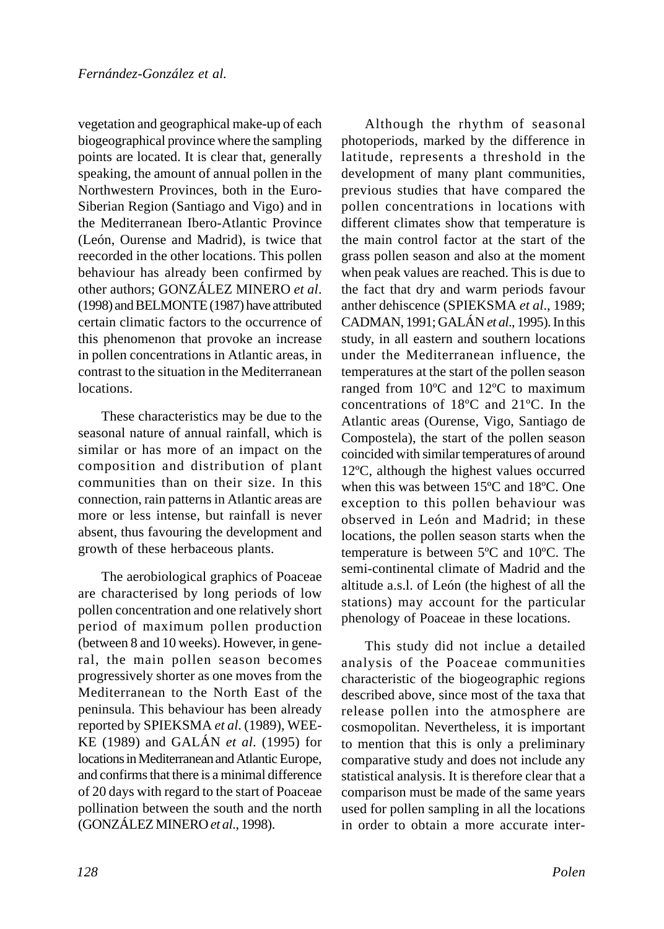vegetation and geographical make-up of each biogeographical province where the sampling points are located. It is clear that, generally speaking, the amount of annual pollen in the Northwestern Provinces, both in the Euro-Siberian Region (Santiago and Vigo) and in the Mediterranean Ibero-Atlantic Province (León, Ourense and Madrid), is twice that reecorded in the other locations. This pollen behaviour has already been confirmed by other authors; GONZÁLEZ MINERO *et al*. (1998) and BELMONTE (1987) have attributed certain climatic factors to the occurrence of this phenomenon that provoke an increase in pollen concentrations in Atlantic areas, in contrast to the situation in the Mediterranean locations.

These characteristics may be due to the seasonal nature of annual rainfall, which is similar or has more of an impact on the composition and distribution of plant communities than on their size. In this connection, rain patterns in Atlantic areas are more or less intense, but rainfall is never absent, thus favouring the development and growth of these herbaceous plants.

The aerobiological graphics of Poaceae are characterised by long periods of low pollen concentration and one relatively short period of maximum pollen production (between 8 and 10 weeks). However, in general, the main pollen season becomes progressively shorter as one moves from the Mediterranean to the North East of the peninsula. This behaviour has been already reported by SPIEKSMA *et al*. (1989), WEE-KE (1989) and GALÁN *et al*. (1995) for locations in Mediterranean and Atlantic Europe, and confirms that there is a minimal difference of 20 days with regard to the start of Poaceae pollination between the south and the north (GONZÁLEZ MINERO *et al*., 1998).

Although the rhythm of seasonal photoperiods, marked by the difference in latitude, represents a threshold in the development of many plant communities, previous studies that have compared the pollen concentrations in locations with different climates show that temperature is the main control factor at the start of the grass pollen season and also at the moment when peak values are reached. This is due to the fact that dry and warm periods favour anther dehiscence (SPIEKSMA *et al*., 1989; CADMAN, 1991; GALÁN *et al*., 1995). In this study, in all eastern and southern locations under the Mediterranean influence, the temperatures at the start of the pollen season ranged from 10ºC and 12ºC to maximum concentrations of 18ºC and 21ºC. In the Atlantic areas (Ourense, Vigo, Santiago de Compostela), the start of the pollen season coincided with similar temperatures of around 12ºC, although the highest values occurred when this was between 15ºC and 18ºC. One exception to this pollen behaviour was observed in León and Madrid; in these locations, the pollen season starts when the temperature is between 5ºC and 10ºC. The semi-continental climate of Madrid and the altitude a.s.l. of León (the highest of all the stations) may account for the particular phenology of Poaceae in these locations.

This study did not inclue a detailed analysis of the Poaceae communities characteristic of the biogeographic regions described above, since most of the taxa that release pollen into the atmosphere are cosmopolitan. Nevertheless, it is important to mention that this is only a preliminary comparative study and does not include any statistical analysis. It is therefore clear that a comparison must be made of the same years used for pollen sampling in all the locations in order to obtain a more accurate inter-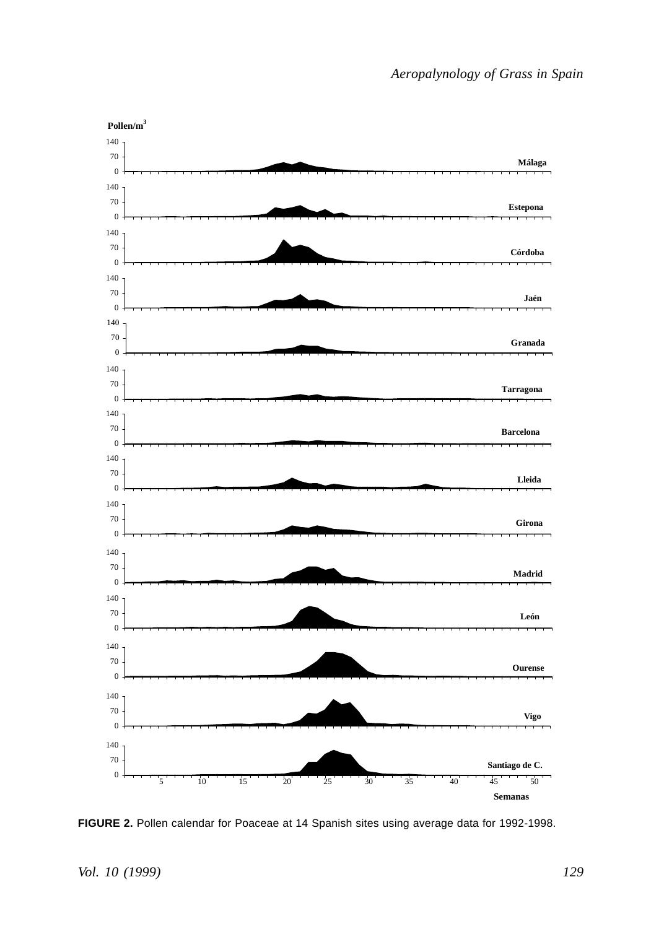

**FIGURE 2.** Pollen calendar for Poaceae at 14 Spanish sites using average data for 1992-1998.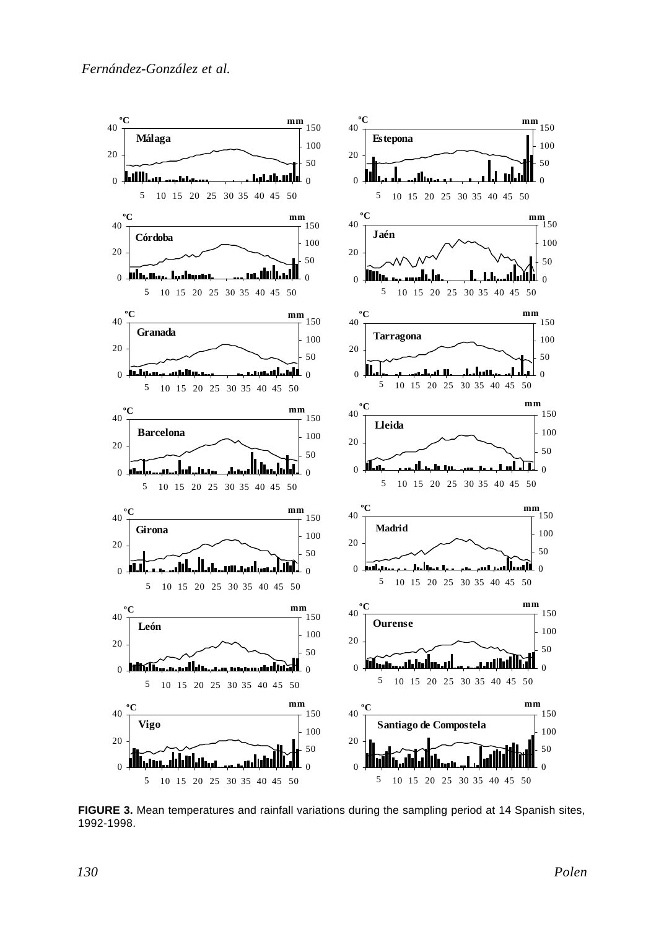

**FIGURE 3.** Mean temperatures and rainfall variations during the sampling period at 14 Spanish sites, 1992-1998.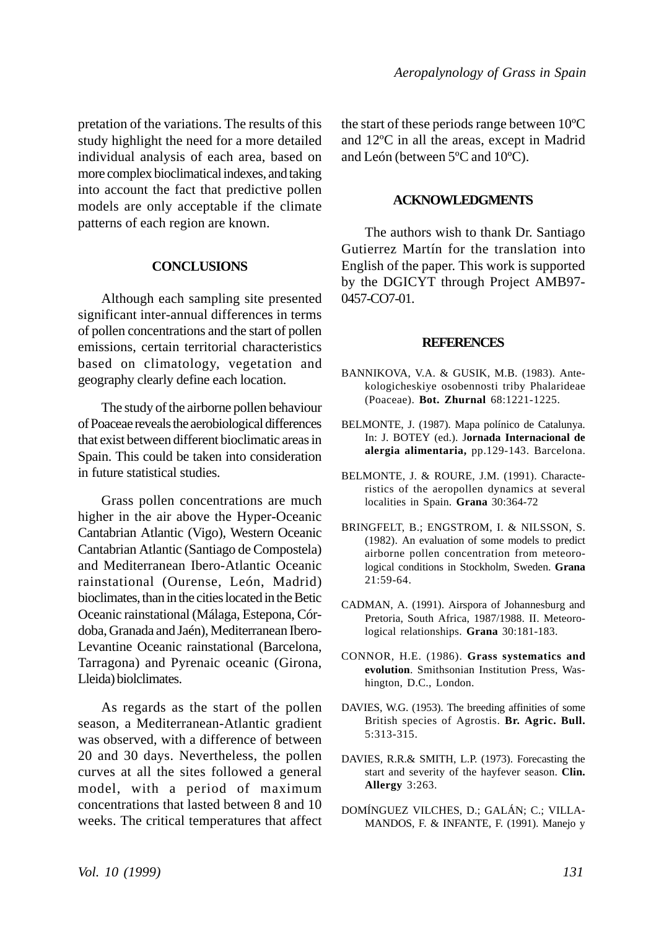pretation of the variations. The results of this study highlight the need for a more detailed individual analysis of each area, based on more complex bioclimatical indexes, and taking into account the fact that predictive pollen models are only acceptable if the climate patterns of each region are known.

#### **CONCLUSIONS**

Although each sampling site presented significant inter-annual differences in terms of pollen concentrations and the start of pollen emissions, certain territorial characteristics based on climatology, vegetation and geography clearly define each location.

The study of the airborne pollen behaviour of Poaceae reveals the aerobiological differences that exist between different bioclimatic areas in Spain. This could be taken into consideration in future statistical studies.

Grass pollen concentrations are much higher in the air above the Hyper-Oceanic Cantabrian Atlantic (Vigo), Western Oceanic Cantabrian Atlantic (Santiago de Compostela) and Mediterranean Ibero-Atlantic Oceanic rainstational (Ourense, León, Madrid) bioclimates, than in the cities located in the Betic Oceanic rainstational (Málaga, Estepona, Córdoba, Granada and Jaén), Mediterranean Ibero-Levantine Oceanic rainstational (Barcelona, Tarragona) and Pyrenaic oceanic (Girona, Lleida) biolclimates.

As regards as the start of the pollen season, a Mediterranean-Atlantic gradient was observed, with a difference of between 20 and 30 days. Nevertheless, the pollen curves at all the sites followed a general model, with a period of maximum concentrations that lasted between 8 and 10 weeks. The critical temperatures that affect the start of these periods range between 10ºC and 12ºC in all the areas, except in Madrid and León (between 5ºC and 10ºC).

#### **ACKNOWLEDGMENTS**

The authors wish to thank Dr. Santiago Gutierrez Martín for the translation into English of the paper. This work is supported by the DGICYT through Project AMB97- 0457-CO7-01.

#### **REFERENCES**

- BANNIKOVA, V.A. & GUSIK, M.B. (1983). Antekologicheskiye osobennosti triby Phalarideae (Poaceae). **Bot. Zhurnal** 68:1221-1225.
- BELMONTE, J. (1987). Mapa polínico de Catalunya. In: J. BOTEY (ed.). J**ornada Internacional de alergia alimentaria,** pp.129-143. Barcelona.
- BELMONTE, J. & ROURE, J.M. (1991). Characteristics of the aeropollen dynamics at several localities in Spain. **Grana** 30:364-72
- BRINGFELT, B.; ENGSTROM, I. & NILSSON, S. (1982). An evaluation of some models to predict airborne pollen concentration from meteorological conditions in Stockholm, Sweden. **Grana** 21:59-64.
- CADMAN, A. (1991). Airspora of Johannesburg and Pretoria, South Africa, 1987/1988. II. Meteorological relationships. **Grana** 30:181-183.
- CONNOR, H.E. (1986). **Grass systematics and evolution**. Smithsonian Institution Press, Washington, D.C., London.
- DAVIES, W.G. (1953). The breeding affinities of some British species of Agrostis. **Br. Agric. Bull.** 5:313-315.
- DAVIES, R.R.& SMITH, L.P. (1973). Forecasting the start and severity of the hayfever season. **Clin. Allergy** 3:263.
- DOMÍNGUEZ VILCHES, D.; GALÁN; C.; VILLA-MANDOS, F. & INFANTE, F. (1991). Manejo y